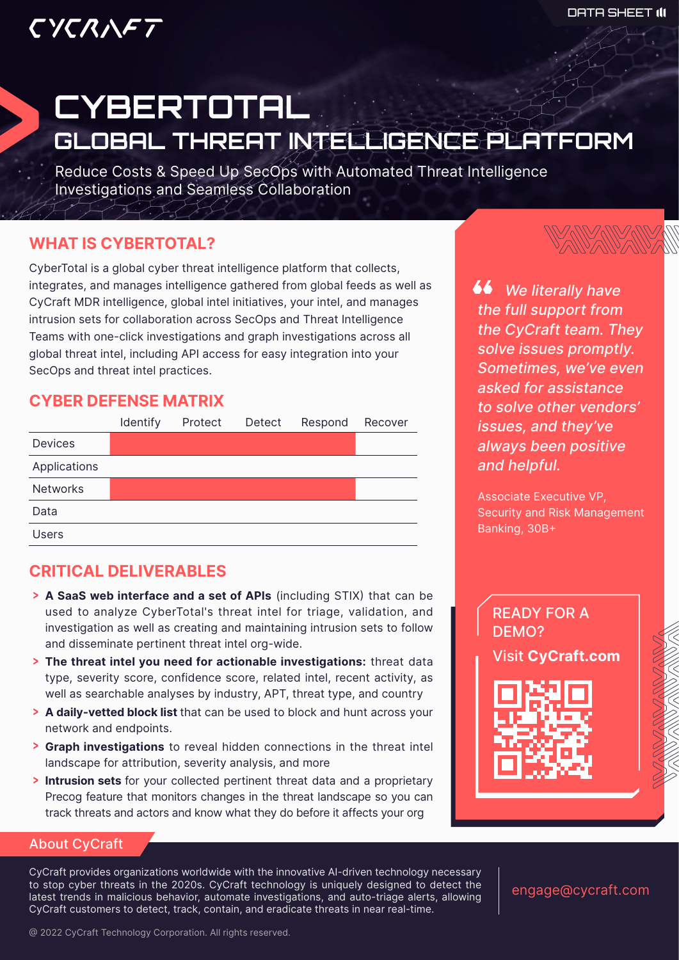## CYCRAFT

# **CYBERTOTAL** GLOBAL THREAT INTELLIGENCE PLATFORM

Reduce Costs & Speed Up SecOps with Automated Threat Intelligence Investigations and Seamless Collaboration

### **WHAT IS CYBERTOTAL?**

CyberTotal is a global cyber threat intelligence platform that collects, integrates, and manages intelligence gathered from global feeds as well as CyCraft MDR intelligence, global intel initiatives, your intel, and manages intrusion sets for collaboration across SecOps and Threat Intelligence Teams with one-click investigations and graph investigations across all global threat intel, including API access for easy integration into your SecOps and threat intel practices.

#### **CYBER DEFENSE MATRIX**



## **CRITICAL DELIVERABLES**

- > A SaaS web interface and a set of APIs (including STIX) that can be used to analyze CyberTotal's threat intel for triage, validation, and investigation as well as creating and maintaining intrusion sets to follow and disseminate pertinent threat intel org-wide.
- **> The threat intel you need for actionable investigations:** threat data type, severity score, confidence score, related intel, recent activity, as well as searchable analyses by industry, APT, threat type, and country
- > A daily-vetted block list that can be used to block and hunt across your network and endpoints.
- **> Graph investigations** to reveal hidden connections in the threat intel landscape for attribution, severity analysis, and more
- **Intrusion sets** for your collected pertinent threat data and a proprietary Precog feature that monitors changes in the threat landscape so you can track threats and actors and know what they do before it affects your org



 *We literally have the full support from the CyCraft team. They solve issues promptly. Sometimes, we've even asked for assistance to solve other vendors' issues, and they've always been positive and helpful.*

Associate Executive VP, Security and Risk Management Banking, 30B+

READY FOR A DEMO? Visit **CyCraft.com**

#### About CyCraft

CyCraft provides organizations worldwide with the innovative AI-driven technology necessary to stop cyber threats in the 2020s. CyCraft technology is uniquely designed to detect the latest trends in malicious behavior, automate investigations, and auto-triage alerts, allowing CyCraft customers to detect, track, contain, and eradicate threats in near real-time.

engage@cycraft.com